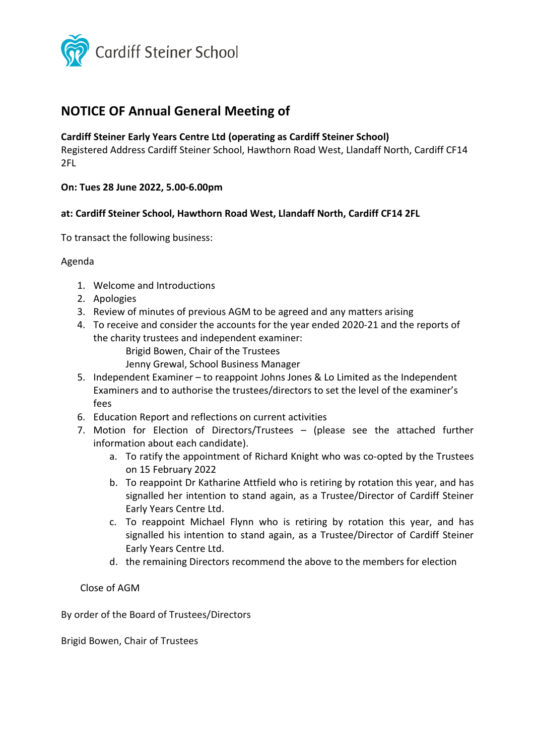

# **NOTICE OF Annual General Meeting of**

### **Cardiff Steiner Early Years Centre Ltd (operating as Cardiff Steiner School)**

Registered Address Cardiff Steiner School, Hawthorn Road West, Llandaff North, Cardiff CF14 2FL

**On: Tues 28 June 2022, 5.00-6.00pm**

### **at: Cardiff Steiner School, Hawthorn Road West, Llandaff North, Cardiff CF14 2FL**

To transact the following business:

#### Agenda

- 1. Welcome and Introductions
- 2. Apologies
- 3. Review of minutes of previous AGM to be agreed and any matters arising
- 4. To receive and consider the accounts for the year ended 2020-21 and the reports of the charity trustees and independent examiner:
	- Brigid Bowen, Chair of the Trustees
	- Jenny Grewal, School Business Manager
- 5. Independent Examiner to reappoint Johns Jones & Lo Limited as the Independent Examiners and to authorise the trustees/directors to set the level of the examiner's fees
- 6. Education Report and reflections on current activities
- 7. Motion for Election of Directors/Trustees (please see the attached further information about each candidate).
	- a. To ratify the appointment of Richard Knight who was co-opted by the Trustees on 15 February 2022
	- b. To reappoint Dr Katharine Attfield who is retiring by rotation this year, and has signalled her intention to stand again, as a Trustee/Director of Cardiff Steiner Early Years Centre Ltd.
	- c. To reappoint Michael Flynn who is retiring by rotation this year, and has signalled his intention to stand again, as a Trustee/Director of Cardiff Steiner Early Years Centre Ltd.
	- d. the remaining Directors recommend the above to the members for election

Close of AGM

By order of the Board of Trustees/Directors

Brigid Bowen, Chair of Trustees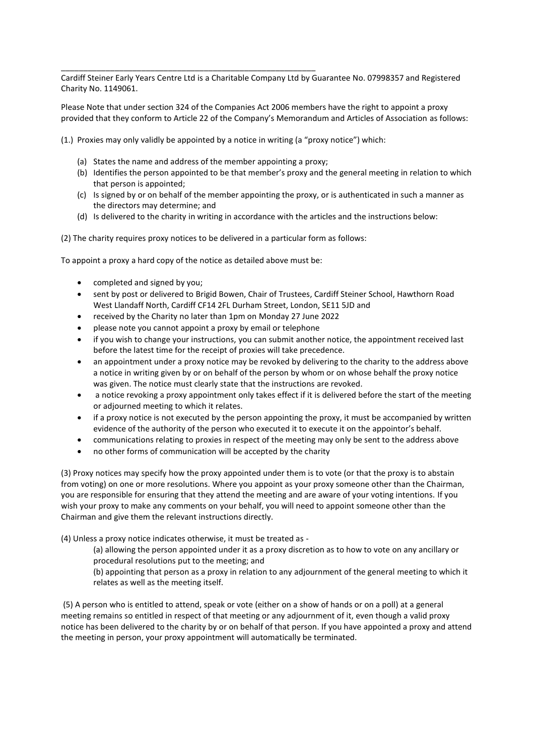\_\_\_\_\_\_\_\_\_\_\_\_\_\_\_\_\_\_\_\_\_\_\_\_\_\_\_\_\_\_\_\_\_\_\_\_\_\_\_\_\_\_\_\_\_\_\_\_\_\_\_\_\_\_\_\_\_ Cardiff Steiner Early Years Centre Ltd is a Charitable Company Ltd by Guarantee No. 07998357 and Registered Charity No. 1149061.

Please Note that under section 324 of the Companies Act 2006 members have the right to appoint a proxy provided that they conform to Article 22 of the Company's Memorandum and Articles of Association as follows:

(1.) Proxies may only validly be appointed by a notice in writing (a "proxy notice") which:

- (a) States the name and address of the member appointing a proxy;
- (b) Identifies the person appointed to be that member's proxy and the general meeting in relation to which that person is appointed;
- (c) Is signed by or on behalf of the member appointing the proxy, or is authenticated in such a manner as the directors may determine; and
- (d) Is delivered to the charity in writing in accordance with the articles and the instructions below:

(2) The charity requires proxy notices to be delivered in a particular form as follows:

To appoint a proxy a hard copy of the notice as detailed above must be:

- completed and signed by you;
- sent by post or delivered to Brigid Bowen, Chair of Trustees, Cardiff Steiner School, Hawthorn Road West Llandaff North, Cardiff CF14 2FL Durham Street, London, SE11 5JD and
- received by the Charity no later than 1pm on Monday 27 June 2022
- please note you cannot appoint a proxy by email or telephone
- if you wish to change your instructions, you can submit another notice, the appointment received last before the latest time for the receipt of proxies will take precedence.
- an appointment under a proxy notice may be revoked by delivering to the charity to the address above a notice in writing given by or on behalf of the person by whom or on whose behalf the proxy notice was given. The notice must clearly state that the instructions are revoked.
- a notice revoking a proxy appointment only takes effect if it is delivered before the start of the meeting or adjourned meeting to which it relates.
- if a proxy notice is not executed by the person appointing the proxy, it must be accompanied by written evidence of the authority of the person who executed it to execute it on the appointor's behalf.
- communications relating to proxies in respect of the meeting may only be sent to the address above
- no other forms of communication will be accepted by the charity

(3) Proxy notices may specify how the proxy appointed under them is to vote (or that the proxy is to abstain from voting) on one or more resolutions. Where you appoint as your proxy someone other than the Chairman, you are responsible for ensuring that they attend the meeting and are aware of your voting intentions. If you wish your proxy to make any comments on your behalf, you will need to appoint someone other than the Chairman and give them the relevant instructions directly.

(4) Unless a proxy notice indicates otherwise, it must be treated as -

(a) allowing the person appointed under it as a proxy discretion as to how to vote on any ancillary or procedural resolutions put to the meeting; and

(b) appointing that person as a proxy in relation to any adjournment of the general meeting to which it relates as well as the meeting itself.

(5) A person who is entitled to attend, speak or vote (either on a show of hands or on a poll) at a general meeting remains so entitled in respect of that meeting or any adjournment of it, even though a valid proxy notice has been delivered to the charity by or on behalf of that person. If you have appointed a proxy and attend the meeting in person, your proxy appointment will automatically be terminated.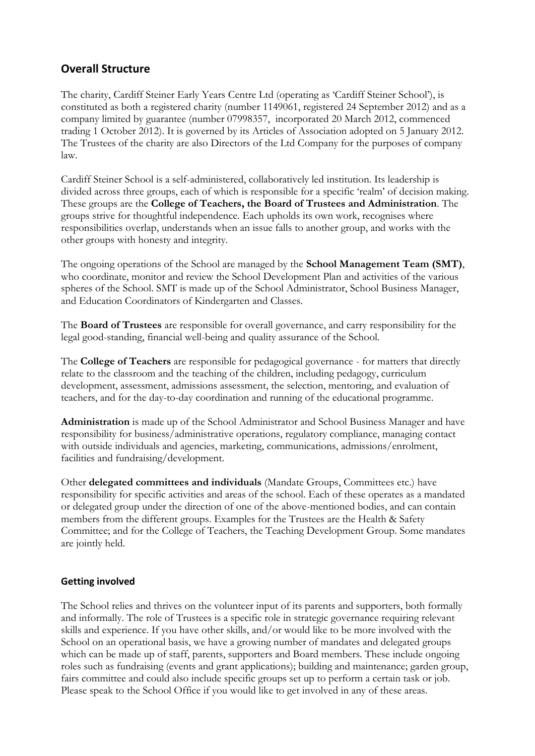### **Overall Structure**

The charity, Cardiff Steiner Early Years Centre Ltd (operating as 'Cardiff Steiner School'), is constituted as both a registered charity (number 1149061, registered 24 September 2012) and as a company limited by guarantee (number 07998357, incorporated 20 March 2012, commenced trading 1 October 2012). It is governed by its Articles of Association adopted on 5 January 2012. The Trustees of the charity are also Directors of the Ltd Company for the purposes of company law.

Cardiff Steiner School is a self-administered, collaboratively led institution. Its leadership is divided across three groups, each of which is responsible for a specific 'realm' of decision making. These groups are the **College of Teachers, the Board of Trustees and Administration**. The groups strive for thoughtful independence. Each upholds its own work, recognises where responsibilities overlap, understands when an issue falls to another group, and works with the other groups with honesty and integrity.

The ongoing operations of the School are managed by the **School Management Team (SMT)**, who coordinate, monitor and review the School Development Plan and activities of the various spheres of the School. SMT is made up of the School Administrator, School Business Manager, and Education Coordinators of Kindergarten and Classes.

The **Board of Trustees** are responsible for overall governance, and carry responsibility for the legal good-standing, financial well-being and quality assurance of the School.

The **College of Teachers** are responsible for pedagogical governance - for matters that directly relate to the classroom and the teaching of the children, including pedagogy, curriculum development, assessment, admissions assessment, the selection, mentoring, and evaluation of teachers, and for the day-to-day coordination and running of the educational programme.

**Administration** is made up of the School Administrator and School Business Manager and have responsibility for business/administrative operations, regulatory compliance, managing contact with outside individuals and agencies, marketing, communications, admissions/enrolment, facilities and fundraising/development.

Other **delegated committees and individuals** (Mandate Groups, Committees etc.) have responsibility for specific activities and areas of the school. Each of these operates as a mandated or delegated group under the direction of one of the above-mentioned bodies, and can contain members from the different groups. Examples for the Trustees are the Health & Safety Committee; and for the College of Teachers, the Teaching Development Group. Some mandates are jointly held.

### **Getting involved**

The School relies and thrives on the volunteer input of its parents and supporters, both formally and informally. The role of Trustees is a specific role in strategic governance requiring relevant skills and experience. If you have other skills, and/or would like to be more involved with the School on an operational basis, we have a growing number of mandates and delegated groups which can be made up of staff, parents, supporters and Board members. These include ongoing roles such as fundraising (events and grant applications); building and maintenance; garden group, fairs committee and could also include specific groups set up to perform a certain task or job. Please speak to the School Office if you would like to get involved in any of these areas.